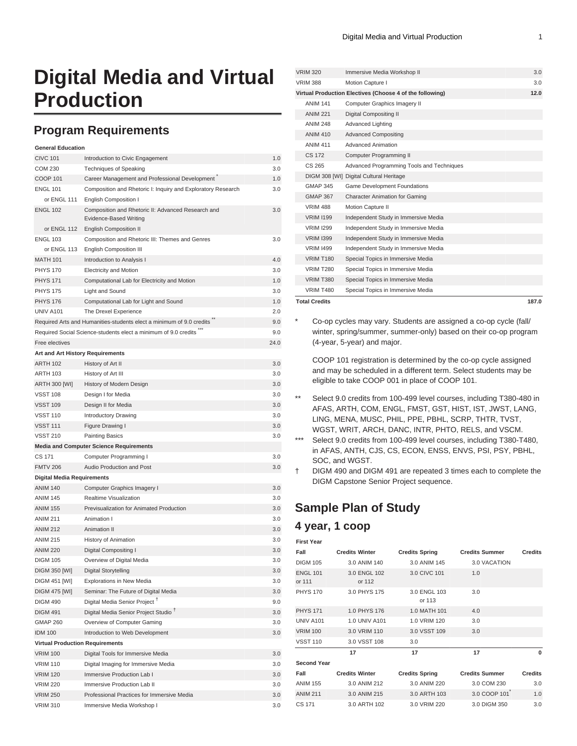# **Digital Media and Virtual Production**

## **Program Requirements**

| <b>General Education</b>               |                                                                                     |      |
|----------------------------------------|-------------------------------------------------------------------------------------|------|
| <b>CIVC 101</b>                        | Introduction to Civic Engagement                                                    | 1.0  |
| <b>COM 230</b>                         | Techniques of Speaking                                                              | 3.0  |
| <b>COOP 101</b>                        | Career Management and Professional Development                                      | 1.0  |
| <b>ENGL 101</b>                        | Composition and Rhetoric I: Inquiry and Exploratory Research                        | 3.0  |
| or ENGL 111                            | <b>English Composition I</b>                                                        |      |
| <b>ENGL 102</b>                        | Composition and Rhetoric II: Advanced Research and<br><b>Evidence-Based Writing</b> | 3.0  |
| or ENGL 112                            | <b>English Composition II</b>                                                       |      |
| <b>ENGL 103</b>                        | Composition and Rhetoric III: Themes and Genres                                     | 3.0  |
| or ENGL 113                            | <b>English Composition III</b>                                                      |      |
| <b>MATH 101</b>                        | Introduction to Analysis I                                                          | 4.0  |
| <b>PHYS 170</b>                        | <b>Electricity and Motion</b>                                                       | 3.0  |
| <b>PHYS 171</b>                        | Computational Lab for Electricity and Motion                                        | 1.0  |
| <b>PHYS 175</b>                        | Light and Sound                                                                     | 3.0  |
| <b>PHYS 176</b>                        | Computational Lab for Light and Sound                                               | 1.0  |
| <b>UNIV A101</b>                       | The Drexel Experience                                                               | 2.0  |
|                                        | Required Arts and Humanities-students elect a minimum of 9.0 credits                | 9.0  |
|                                        | Required Social Science-students elect a minimum of 9.0 credits                     | 9.0  |
| Free electives                         |                                                                                     | 24.0 |
| Art and Art History Requirements       |                                                                                     |      |
| <b>ARTH 102</b>                        | History of Art II                                                                   | 3.0  |
| <b>ARTH 103</b>                        | History of Art III                                                                  | 3.0  |
| <b>ARTH 300 [WI]</b>                   | History of Modern Design                                                            | 3.0  |
| <b>VSST 108</b>                        | Design I for Media                                                                  | 3.0  |
| <b>VSST 109</b>                        | Design II for Media                                                                 | 3.0  |
| <b>VSST 110</b>                        | <b>Introductory Drawing</b>                                                         | 3.0  |
| <b>VSST 111</b>                        | Figure Drawing I                                                                    | 3.0  |
| <b>VSST 210</b>                        | <b>Painting Basics</b>                                                              | 3.0  |
|                                        | <b>Media and Computer Science Requirements</b>                                      |      |
| CS 171                                 | Computer Programming I                                                              | 3.0  |
| <b>FMTV 206</b>                        | Audio Production and Post                                                           | 3.0  |
| <b>Digital Media Requirements</b>      |                                                                                     |      |
| <b>ANIM 140</b>                        | Computer Graphics Imagery I                                                         | 3.0  |
| <b>ANIM 145</b>                        | Realtime Visualization                                                              | 3.0  |
| <b>ANIM 155</b>                        | Previsualization for Animated Production                                            | 3.0  |
| <b>ANIM 211</b>                        | Animation I                                                                         | 3.0  |
| <b>ANIM 212</b>                        | Animation II                                                                        | 3.0  |
| <b>ANIM 215</b>                        | History of Animation                                                                | 3.0  |
| <b>ANIM 220</b>                        | Digital Compositing I                                                               | 3.0  |
| <b>DIGM 105</b>                        | Overview of Digital Media                                                           | 3.0  |
| DIGM 350 [WI]                          | Digital Storytelling                                                                | 3.0  |
| DIGM 451 [WI]                          | <b>Explorations in New Media</b>                                                    | 3.0  |
| DIGM 475 [WI]                          | Seminar: The Future of Digital Media                                                | 3.0  |
| <b>DIGM 490</b>                        | Digital Media Senior Project <sup>T</sup>                                           | 9.0  |
| <b>DIGM 491</b>                        | Digital Media Senior Project Studio <sup>T</sup>                                    | 3.0  |
| <b>GMAP 260</b>                        | Overview of Computer Gaming                                                         | 3.0  |
| <b>IDM 100</b>                         | Introduction to Web Development                                                     | 3.0  |
| <b>Virtual Production Requirements</b> |                                                                                     |      |
| <b>VRIM 100</b>                        | Digital Tools for Immersive Media                                                   | 3.0  |
| <b>VRIM 110</b>                        | Digital Imaging for Immersive Media                                                 | 3.0  |
| <b>VRIM 120</b>                        | Immersive Production Lab I                                                          | 3.0  |
| <b>VRIM 220</b>                        | Immersive Production Lab II                                                         | 3.0  |
| <b>VRIM 250</b>                        | Professional Practices for Immersive Media                                          | 3.0  |
| <b>VRIM 310</b>                        | Immersive Media Workshop I                                                          | 3.0  |

| <b>VRIM 320</b>      | Immersive Media Workshop II                              | 3.0   |
|----------------------|----------------------------------------------------------|-------|
| <b>VRIM 388</b>      | Motion Capture I                                         | 3.0   |
|                      | Virtual Production Electives (Choose 4 of the following) | 12.0  |
| <b>ANIM 141</b>      | Computer Graphics Imagery II                             |       |
| <b>ANIM 221</b>      | <b>Digital Compositing II</b>                            |       |
| <b>ANIM 248</b>      | <b>Advanced Lighting</b>                                 |       |
| <b>ANIM 410</b>      | <b>Advanced Compositing</b>                              |       |
| <b>ANIM 411</b>      | <b>Advanced Animation</b>                                |       |
| <b>CS 172</b>        | Computer Programming II                                  |       |
| CS 265               | Advanced Programming Tools and Techniques                |       |
|                      | DIGM 308 [WI] Digital Cultural Heritage                  |       |
| <b>GMAP 345</b>      | <b>Game Development Foundations</b>                      |       |
| <b>GMAP 367</b>      | <b>Character Animation for Gaming</b>                    |       |
| <b>VRIM 488</b>      | Motion Capture II                                        |       |
| <b>VRIM 1199</b>     | Independent Study in Immersive Media                     |       |
| <b>VRIM 1299</b>     | Independent Study in Immersive Media                     |       |
| <b>VRIM 1399</b>     | Independent Study in Immersive Media                     |       |
| <b>VRIM 1499</b>     | Independent Study in Immersive Media                     |       |
| <b>VRIM T180</b>     | Special Topics in Immersive Media                        |       |
| <b>VRIM T280</b>     | Special Topics in Immersive Media                        |       |
| <b>VRIM T380</b>     | Special Topics in Immersive Media                        |       |
| <b>VRIM T480</b>     | Special Topics in Immersive Media                        |       |
| <b>Total Credits</b> |                                                          | 187.0 |

Co-op cycles may vary. Students are assigned a co-op cycle (fall/ winter, spring/summer, summer-only) based on their co-op program (4-year, 5-year) and major.

COOP 101 registration is determined by the co-op cycle assigned and may be scheduled in a different term. Select students may be eligible to take COOP 001 in place of COOP 101.

- \*\* Select 9.0 credits from 100-499 level courses, including T380-480 in AFAS, ARTH, COM, ENGL, FMST, GST, HIST, IST, JWST, LANG, LING, MENA, MUSC, PHIL, PPE, PBHL, SCRP, THTR, TVST, WGST, WRIT, ARCH, DANC, INTR, PHTO, RELS, and VSCM.
- \*\*\* Select 9.0 credits from 100-499 level courses, including T380-T480, in AFAS, ANTH, CJS, CS, ECON, ENSS, ENVS, PSI, PSY, PBHL, SOC, and WGST.
- † [DIGM 490](/search/?P=DIGM%20490) and [DIGM 491](/search/?P=DIGM%20491) are repeated 3 times each to complete the DIGM Capstone Senior Project sequence.

## **Sample Plan of Study**

### **4 year, 1 coop**

| <b>First Year</b> |  |
|-------------------|--|

| Fall                      | <b>Credits Winter</b>  | <b>Credits Spring</b>  | <b>Credits Summer</b> | <b>Credits</b> |
|---------------------------|------------------------|------------------------|-----------------------|----------------|
| <b>DIGM 105</b>           | 3.0 ANIM 140           | 3.0 ANIM 145           | 3.0 VACATION          |                |
| <b>ENGL 101</b><br>or 111 | 3.0 ENGL 102<br>or 112 | 3.0 CIVC 101           | 1.0                   |                |
| <b>PHYS 170</b>           | 3.0 PHYS 175           | 3.0 ENGL 103<br>or 113 | 3.0                   |                |
| <b>PHYS 171</b>           | 1.0 PHYS 176           | 1.0 MATH 101           | 4.0                   |                |
| UNIV A101                 | 1.0 UNIV A101          | 1.0 VRIM 120           | 3.0                   |                |
| <b>VRIM 100</b>           | 3.0 VRIM 110           | 3.0 VSST 109           | 3.0                   |                |
| <b>VSST 110</b>           | 3.0 VSST 108           | 3.0                    |                       |                |
|                           | 17                     | 17                     | 17                    | $\bf{0}$       |
| <b>Second Year</b>        |                        |                        |                       |                |
| Fall                      | <b>Credits Winter</b>  | <b>Credits Spring</b>  | <b>Credits Summer</b> | <b>Credits</b> |
| <b>ANIM 155</b>           | 3.0 ANIM 212           | 3.0 ANIM 220           | 3.0 COM 230           | 3.0            |
| <b>ANIM 211</b>           | 3.0 ANIM 215           | 3.0 ARTH 103           | 3.0 COOP 101          | 1.0            |
| CS 171                    | 3.0 ARTH 102           | 3.0 VRIM 220           | 3.0 DIGM 350          | 3.0            |